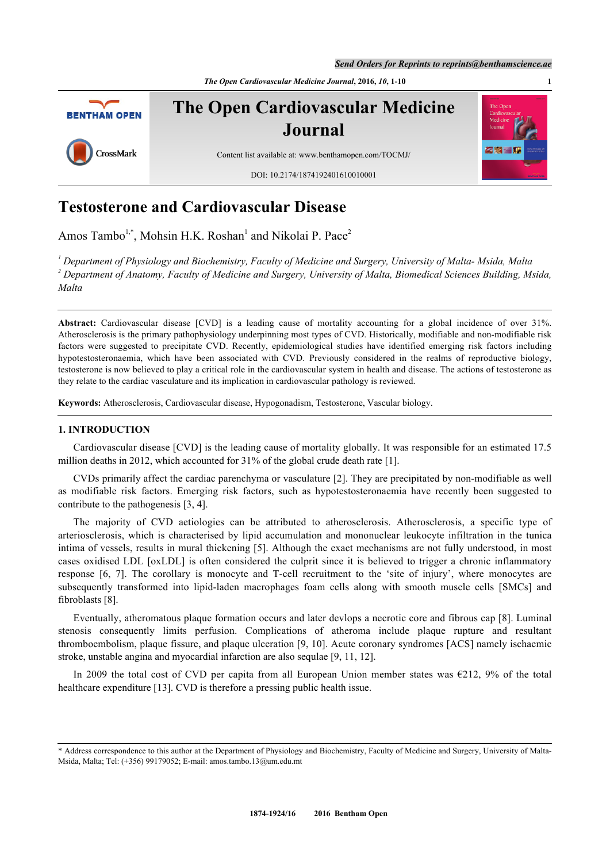*Send Orders for Reprints to reprints@benthamscience.ae*

*The Open Cardiovascular Medicine Journal***, 2016,** *10***, 1-10 1**



# **Testosterone and Cardiovascular Disease**

Amos Tambo<sup>[1,](#page-0-0)[\\*](#page-0-1)</sup>, Mohsin H.K. Roshan<sup>[1](#page-0-0)</sup> and Nikolai P. Pace<sup>[2](#page-0-2)</sup>

<span id="page-0-2"></span><span id="page-0-0"></span>*1 Department of Physiology and Biochemistry, Faculty of Medicine and Surgery, University of Malta- Msida, Malta 2 Department of Anatomy, Faculty of Medicine and Surgery, University of Malta, Biomedical Sciences Building, Msida, Malta*

**Abstract:** Cardiovascular disease [CVD] is a leading cause of mortality accounting for a global incidence of over 31%. Atherosclerosis is the primary pathophysiology underpinning most types of CVD. Historically, modifiable and non-modifiable risk factors were suggested to precipitate CVD. Recently, epidemiological studies have identified emerging risk factors including hypotestosteronaemia, which have been associated with CVD. Previously considered in the realms of reproductive biology, testosterone is now believed to play a critical role in the cardiovascular system in health and disease. The actions of testosterone as they relate to the cardiac vasculature and its implication in cardiovascular pathology is reviewed.

**Keywords:** Atherosclerosis, Cardiovascular disease, Hypogonadism, Testosterone, Vascular biology.

### **1. INTRODUCTION**

Cardiovascular disease [CVD] is the leading cause of mortality globally. It was responsible for an estimated 17.5 million deaths in 2012, which accounted for 31% of the global crude death rate [\[1](#page-6-0)].

CVDs primarily affect the cardiac parenchyma or vasculature [[2\]](#page-6-1). They are precipitated by non-modifiable as well as modifiable risk factors. Emerging risk factors, such as hypotestosteronaemia have recently been suggested to contribute to the pathogenesis [\[3](#page-6-2), [4](#page-6-3)].

The majority of CVD aetiologies can be attributed to atherosclerosis. Atherosclerosis, a specific type of arteriosclerosis, which is characterised by lipid accumulation and mononuclear leukocyte infiltration in the tunica intima of vessels, results in mural thickening [[5](#page-6-4)]. Although the exact mechanisms are not fully understood, in most cases oxidised LDL [oxLDL] is often considered the culprit since it is believed to trigger a chronic inflammatory response[[6,](#page-6-5) [7\]](#page-6-6). The corollary is monocyte and T-cell recruitment to the 'site of injury', where monocytes are subsequently transformed into lipid-laden macrophages foam cells along with smooth muscle cells [SMCs] and fibroblasts [[8\]](#page-6-7).

Eventually, atheromatous plaque formation occurs and later devlops a necrotic core and fibrous cap [[8](#page-6-7)]. Luminal stenosis consequently limits perfusion. Complications of atheroma include plaque rupture and resultant thromboembolism, plaque fissure, and plaque ulceration [[9,](#page-6-8) [10](#page-6-9)]. Acute coronary syndromes [ACS] namely ischaemic stroke, unstable angina and myocardial infarction are also sequlae [\[9](#page-6-8), [11](#page-6-10), [12](#page-6-11)].

In 2009 the total cost of CVD per capita from all European Union member states was  $\epsilon$ 212, 9% of the total healthcare expenditure [\[13](#page-6-12)]. CVD is therefore a pressing public health issue.

<span id="page-0-1"></span><sup>\*</sup> Address correspondence to this author at the Department of Physiology and Biochemistry, Faculty of Medicine and Surgery, University of Malta-Msida, Malta; Tel: (+356) 99179052; E-mail: [amos.tambo.13@um.edu.mt](mailto:amos.tambo.13@um.edu.mt)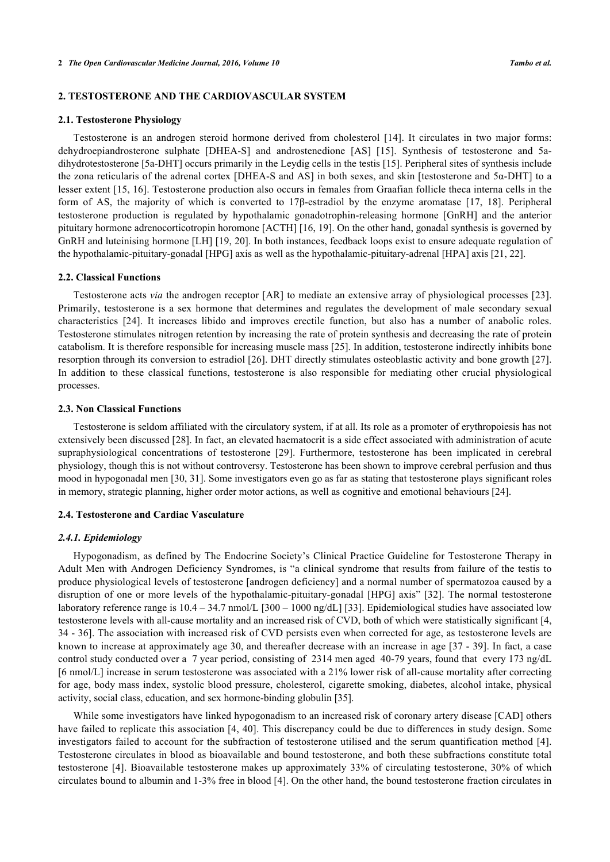#### **2. TESTOSTERONE AND THE CARDIOVASCULAR SYSTEM**

#### **2.1. Testosterone Physiology**

Testosterone is an androgen steroid hormone derived from cholesterol [\[14\]](#page-6-13). It circulates in two major forms: dehydroepiandrosterone sulphate [DHEA-S] and androstenedione [AS][[15](#page-6-14)]. Synthesis of testosterone and 5adihydrotestosterone [5a-DHT] occurs primarily in the Leydig cells in the testis [[15\]](#page-6-14). Peripheral sites of synthesis include the zona reticularis of the adrenal cortex [DHEA-S and AS] in both sexes, and skin [testosterone and 5α-DHT] to a lesser extent [[15](#page-6-14), [16\]](#page-6-15). Testosterone production also occurs in females from Graafian follicle theca interna cells in the form of AS, the majority of which is converted to 17β-estradiol by the enzyme aromatase [\[17,](#page-6-16) [18\]](#page-6-17). Peripheral testosterone production is regulated by hypothalamic gonadotrophin-releasing hormone [GnRH] and the anterior pituitary hormone adrenocorticotropin horomone [ACTH] [[16,](#page-6-15) [19\]](#page-6-18). On the other hand, gonadal synthesis is governed by GnRH and luteinising hormone [LH] [[19,](#page-6-18) [20](#page-6-19)]. In both instances, feedback loops exist to ensure adequate regulation of the hypothalamic-pituitary-gonadal [HPG] axis as well as the hypothalamic-pituitary-adrenal [HPA] axis [\[21](#page-6-20), [22](#page-7-0)].

#### **2.2. Classical Functions**

Testosterone acts *via* the androgen receptor [AR] to mediate an extensive array of physiological processes [\[23\]](#page-7-1). Primarily, testosterone is a sex hormone that determines and regulates the development of male secondary sexual characteristics [\[24](#page-7-2)]. It increases libido and improves erectile function, but also has a number of anabolic roles. Testosterone stimulates nitrogen retention by increasing the rate of protein synthesis and decreasing the rate of protein catabolism. It is therefore responsible for increasing muscle mass [[25\]](#page-7-3). In addition, testosterone indirectly inhibits bone resorption through its conversion to estradiol [\[26](#page-7-4)]. DHT directly stimulates osteoblastic activity and bone growth [[27\]](#page-7-5). In addition to these classical functions, testosterone is also responsible for mediating other crucial physiological processes.

#### **2.3. Non Classical Functions**

Testosterone is seldom affiliated with the circulatory system, if at all. Its role as a promoter of erythropoiesis has not extensively been discussed [\[28\]](#page-7-6). In fact, an elevated haematocrit is a side effect associated with administration of acute supraphysiological concentrations of testosterone [\[29](#page-7-7)]. Furthermore, testosterone has been implicated in cerebral physiology, though this is not without controversy. Testosterone has been shown to improve cerebral perfusion and thus mood in hypogonadal men [\[30](#page-7-8), [31](#page-7-9)]. Some investigators even go as far as stating that testosterone plays significant roles in memory, strategic planning, higher order motor actions, as well as cognitive and emotional behaviours [\[24](#page-7-2)].

#### **2.4. Testosterone and Cardiac Vasculature**

#### *2.4.1. Epidemiology*

Hypogonadism, as defined by The Endocrine Society's Clinical Practice Guideline for Testosterone Therapy in Adult Men with Androgen Deficiency Syndromes, is "a clinical syndrome that results from failure of the testis to produce physiological levels of testosterone [androgen deficiency] and a normal number of spermatozoa caused by a disruption of one or more levels of the hypothalamic-pituitary-gonadal [HPG] axis" [[32\]](#page-7-10). The normal testosterone laboratory reference range is  $10.4 - 34.7$  nmol/L  $[300 - 1000$  ng/dL]  $[33]$  $[33]$ . Epidemiological studies have associated low testosterone levels with all-cause mortality and an increased risk of CVD, both of which were statistically significant [\[4](#page-6-3), [34](#page-7-12) - [36](#page-7-13)]. The association with increased risk of CVD persists even when corrected for age, as testosterone levels are known to increase at approximately age 30, and thereafter decrease with an increase in age [[37](#page-7-14) - [39\]](#page-7-15). In fact, a case control study conducted over a 7 year period, consisting of 2314 men aged 40-79 years, found that every 173 ng/dL [6 nmol/L] increase in serum testosterone was associated with a 21% lower risk of all-cause mortality after correcting for age, body mass index, systolic blood pressure, cholesterol, cigarette smoking, diabetes, alcohol intake, physical activity, social class, education, and sex hormone-binding globulin [[35\]](#page-7-16).

While some investigators have linked hypogonadism to an increased risk of coronary artery disease [CAD] others have failed to replicate this association [[4,](#page-6-3) [40\]](#page-7-17). This discrepancy could be due to differences in study design. Some investigators failed to account for the subfraction of testosterone utilised and the serum quantification method [[4\]](#page-6-3). Testosterone circulates in blood as bioavailable and bound testosterone, and both these subfractions constitute total testosterone [[4\]](#page-6-3). Bioavailable testosterone makes up approximately 33% of circulating testosterone, 30% of which circulates bound to albumin and 1-3% free in blood [[4\]](#page-6-3). On the other hand, the bound testosterone fraction circulates in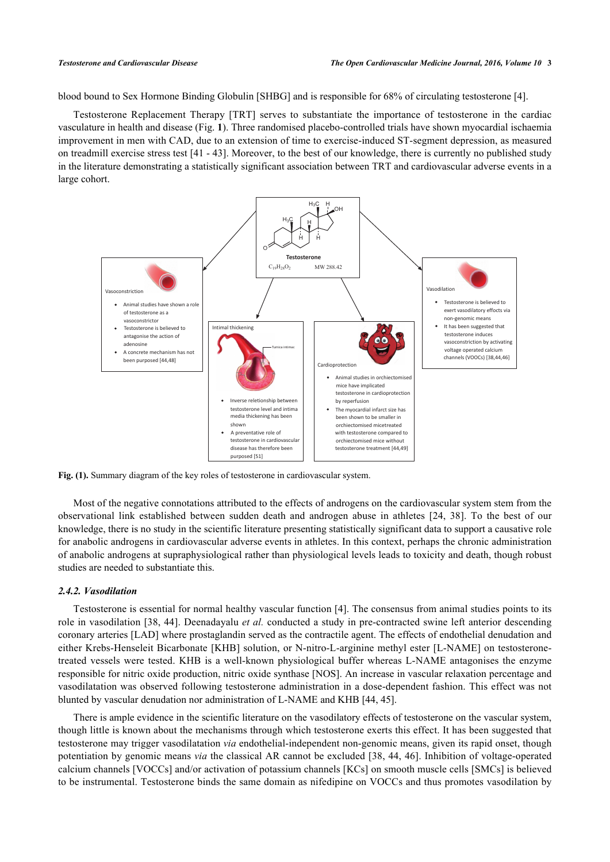blood bound to Sex Hormone Binding Globulin [[SHBG](#page--1-0)] and is responsible for 68% of circulating testosterone [[4\]](#page-6-3).

Testosterone Replacement Therapy [TRT] serves to substantiate the importance of testosterone in the cardiac vasculature in health and disease (Fig. **[1](#page-2-0)**). Three randomised placebo-controlled trials have shown myocardial ischaemia improvement in men with CAD, due to an extension of time to exercise-induced ST-segment depression, as measured on treadmill exercise stress test [[41](#page-7-18) - [43\]](#page-8-0). Moreover, to the best of our knowledge, there is currently no published study in the literature demonstrating a statistically significant association between TRT and cardiovascular adverse events in a large cohort.

<span id="page-2-0"></span>

**Fig. (1).** Summary diagram of the key roles of testosterone in cardiovascular system.

Most of the negative connotations attributed to the effects of androgens on the cardiovascular system stem from the observational link established between sudden death and androgen abuse in athletes [\[24,](#page-7-2) [38\]](#page-7-19). To the best of our knowledge, there is no study in the scientific literature presenting statistically significant data to support a causative role for anabolic androgens in cardiovascular adverse events in athletes. In this context, perhaps the chronic administration of anabolic androgens at supraphysiological rather than physiological levels leads to toxicity and death, though robust studies are needed to substantiate this.

#### *2.4.2. Vasodilation*

Testosterone is essential for normal healthy vascular function [[4](#page-6-3)]. The consensus from animal studies points to its role in vasodilation [[38](#page-7-19), [44](#page-8-1)]. Deenadayalu *et al.* conducted a study in pre-contracted swine left anterior descending coronary arteries [LAD] where prostaglandin served as the contractile agent. The effects of endothelial denudation and either Krebs-Henseleit Bicarbonate [KHB] solution, or N-nitro-L-arginine methyl ester [L-NAME] on testosteronetreated vessels were tested. KHB is a well-known physiological buffer whereas L-NAME antagonises the enzyme responsible for nitric oxide production, nitric oxide synthase [NOS]. An increase in vascular relaxation percentage and vasodilatation was observed following testosterone administration in a dose-dependent fashion. This effect was not blunted by vascular denudation nor administration of L-NAME and KHB [[44,](#page-8-1) [45\]](#page-8-2).

There is ample evidence in the scientific literature on the vasodilatory effects of testosterone on the vascular system, though little is known about the mechanisms through which testosterone exerts this effect. It has been suggested that testosterone may trigger vasodilatation *via* endothelial-independent non-genomic means, given its rapid onset, though potentiation by genomic means *via* the classical AR cannot be excluded [\[38](#page-7-19), [44](#page-8-1), [46](#page-8-3)]. Inhibition of voltage-operated calcium channels [VOCCs] and/or activation of potassium channels [KCs] on smooth muscle cells [SMCs] is believed to be instrumental. Testosterone binds the same domain as nifedipine on VOCCs and thus promotes vasodilation by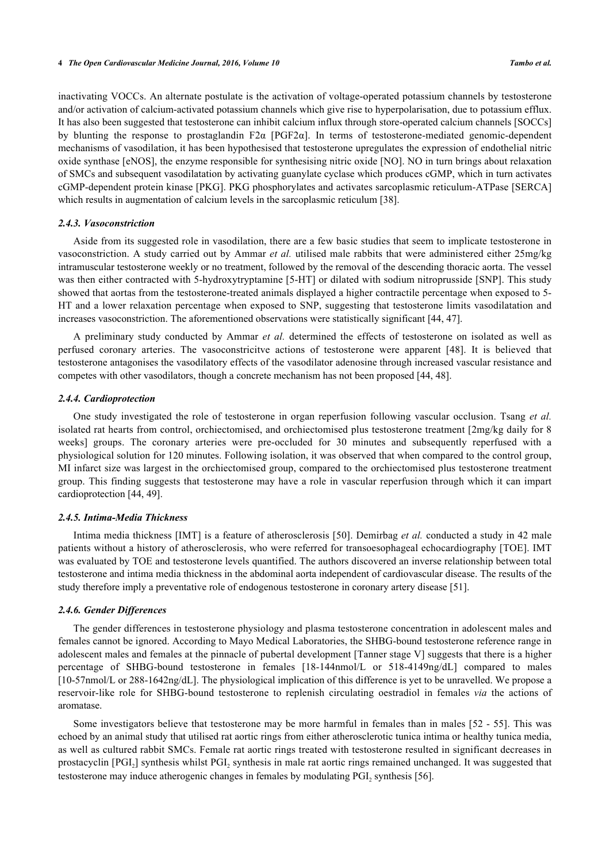inactivating VOCCs. An alternate postulate is the activation of voltage-operated potassium channels by testosterone and/or activation of calcium-activated potassium channels which give rise to hyperpolarisation, due to potassium efflux. It has also been suggested that testosterone can inhibit calcium influx through store-operated calcium channels [SOCCs] by blunting the response to prostaglandin F2α [PGF2α]. In terms of testosterone-mediated genomic-dependent mechanisms of vasodilation, it has been hypothesised that testosterone upregulates the expression of endothelial nitric oxide synthase [eNOS], the enzyme responsible for synthesising nitric oxide [NO]. NO in turn brings about relaxation of SMCs and subsequent vasodilatation by activating guanylate cyclase which produces cGMP, which in turn activates cGMP-dependent protein kinase [PKG]. PKG phosphorylates and activates sarcoplasmic reticulum-ATPase [SERCA] which results in augmentation of calcium levels in the sarcoplasmic reticulum [\[38](#page-7-19)].

#### *2.4.3. Vasoconstriction*

Aside from its suggested role in vasodilation, there are a few basic studies that seem to implicate testosterone in vasoconstriction. A study carried out by Ammar *et al.* utilised male rabbits that were administered either 25mg/kg intramuscular testosterone weekly or no treatment, followed by the removal of the descending thoracic aorta. The vessel was then either contracted with 5-hydroxytryptamine [5-HT] or dilated with sodium nitroprusside [SNP]. This study showed that aortas from the testosterone-treated animals displayed a higher contractile percentage when exposed to 5- HT and a lower relaxation percentage when exposed to SNP, suggesting that testosterone limits vasodilatation and increases vasoconstriction. The aforementioned observations were statistically significant [[44](#page-8-1)[, 47\]](#page-8-4).

A preliminary study conducted by Ammar *et al.* determined the effects of testosterone on isolated as well as perfused coronary arteries. The vasoconstricitve actions of testosterone were apparent[[48](#page-8-5)]. It is believed that testosterone antagonises the vasodilatory effects of the vasodilator adenosine through increased vascular resistance and competes with other vasodilators, though a concrete mechanism has not been proposed [\[44](#page-8-1), [48](#page-8-5)].

#### *2.4.4. Cardioprotection*

One study investigated the role of testosterone in organ reperfusion following vascular occlusion. Tsang *et al.* isolated rat hearts from control, orchiectomised, and orchiectomised plus testosterone treatment [2mg/kg daily for 8 weeks] groups. The coronary arteries were pre-occluded for 30 minutes and subsequently reperfused with a physiological solution for 120 minutes. Following isolation, it was observed that when compared to the control group, MI infarct size was largest in the orchiectomised group, compared to the orchiectomised plus testosterone treatment group. This finding suggests that testosterone may have a role in vascular reperfusion through which it can impart cardioprotection [\[44](#page-8-1), [49](#page-8-6)].

#### *2.4.5. Intima-Media Thickness*

Intima media thickness [IMT] is a feature of atherosclerosis [\[50\]](#page-8-7). Demirbag *et al.* conducted a study in 42 male patients without a history of atherosclerosis, who were referred for transoesophageal echocardiography [TOE]. IMT was evaluated by TOE and testosterone levels quantified. The authors discovered an inverse relationship between total testosterone and intima media thickness in the abdominal aorta independent of cardiovascular disease. The results of the study therefore imply a preventative role of endogenous testosterone in coronary artery disease [\[51](#page-8-8)].

### *2.4.6. Gender Differences*

The gender differences in testosterone physiology and plasma testosterone concentration in adolescent males and females cannot be ignored. According to Mayo Medical Laboratories, the SHBG-bound testosterone reference range in adolescent males and females at the pinnacle of pubertal development [Tanner stage V] suggests that there is a higher percentage of SHBG-bound testosterone in females [18-144nmol/L or 518-4149ng/dL] compared to males [10-57nmol/L or 288-1642ng/dL]. The physiological implication of this difference is yet to be unravelled. We propose a reservoir-like role for SHBG-bound testosterone to replenish circulating oestradiol in females *via* the actions of aromatase.

Some investigators believe that testosterone may be more harmful in females than in males [\[52](#page-8-9) - [55\]](#page-8-10). This was echoed by an animal study that utilised rat aortic rings from either atherosclerotic tunica intima or healthy tunica media, as well as cultured rabbit SMCs. Female rat aortic rings treated with testosterone resulted in significant decreases in prostacyclin [PGI<sub>2</sub>] synthesis whilst PGI<sub>2</sub> synthesis in male rat aortic rings remained unchanged. It was suggested that testosterone may induce atherogenic changes in females by modulating  $PGI<sub>2</sub>$  synthesis [\[56](#page-8-11)].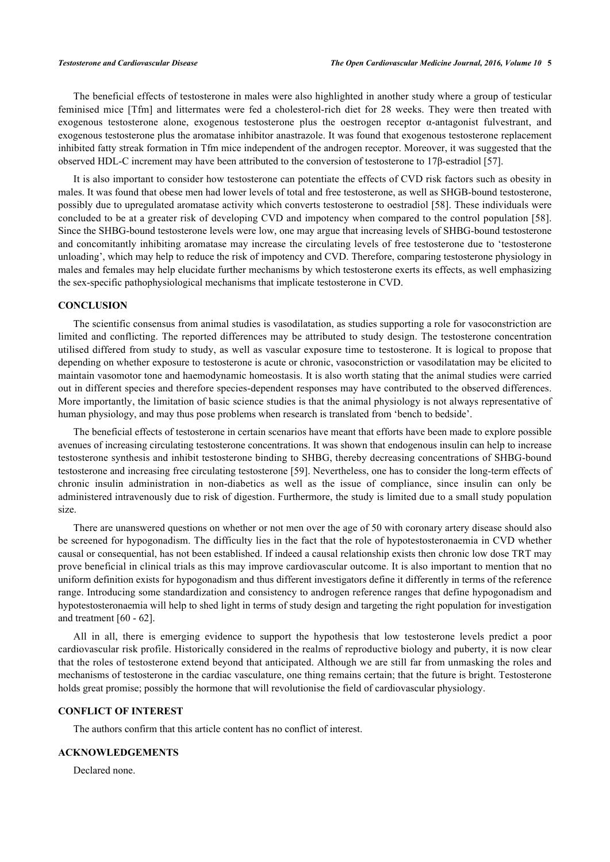The beneficial effects of testosterone in males were also highlighted in another study where a group of testicular feminised mice [Tfm] and littermates were fed a cholesterol-rich diet for 28 weeks. They were then treated with exogenous testosterone alone, exogenous testosterone plus the oestrogen receptor α-antagonist fulvestrant, and exogenous testosterone plus the aromatase inhibitor anastrazole. It was found that exogenous testosterone replacement inhibited fatty streak formation in Tfm mice independent of the androgen receptor. Moreover, it was suggested that the observed HDL-C increment may have been attributed to the conversion of testosterone to 17β-estradiol [[57\]](#page-8-12).

It is also important to consider how testosterone can potentiate the effects of CVD risk factors such as obesity in males. It was found that obese men had lower levels of total and free testosterone, as well as SHGB-bound testosterone, possibly due to upregulated aromatase activity which converts testosterone to oestradiol [[58\]](#page-8-13). These individuals were concluded to be at a greater risk of developing CVD and impotency when compared to the control population [\[58\]](#page-8-13). Since the SHBG-bound testosterone levels were low, one may argue that increasing levels of SHBG-bound testosterone and concomitantly inhibiting aromatase may increase the circulating levels of free testosterone due to 'testosterone unloading', which may help to reduce the risk of impotency and CVD. Therefore, comparing testosterone physiology in males and females may help elucidate further mechanisms by which testosterone exerts its effects, as well emphasizing the sex-specific pathophysiological mechanisms that implicate testosterone in CVD.

#### **CONCLUSION**

The scientific consensus from animal studies is vasodilatation, as studies supporting a role for vasoconstriction are limited and conflicting. The reported differences may be attributed to study design. The testosterone concentration utilised differed from study to study, as well as vascular exposure time to testosterone. It is logical to propose that depending on whether exposure to testosterone is acute or chronic, vasoconstriction or vasodilatation may be elicited to maintain vasomotor tone and haemodynamic homeostasis. It is also worth stating that the animal studies were carried out in different species and therefore species-dependent responses may have contributed to the observed differences. More importantly, the limitation of basic science studies is that the animal physiology is not always representative of human physiology, and may thus pose problems when research is translated from 'bench to bedside'.

The beneficial effects of testosterone in certain scenarios have meant that efforts have been made to explore possible avenues of increasing circulating testosterone concentrations. It was shown that endogenous insulin can help to increase testosterone synthesis and inhibit testosterone binding to SHBG, thereby decreasing concentrations of SHBG-bound testosterone and increasing free circulating testosterone [[59](#page-8-14)]. Nevertheless, one has to consider the long-term effects of chronic insulin administration in non-diabetics as well as the issue of compliance, since insulin can only be administered intravenously due to risk of digestion. Furthermore, the study is limited due to a small study population size.

There are unanswered questions on whether or not men over the age of 50 with coronary artery disease should also be screened for hypogonadism. The difficulty lies in the fact that the role of hypotestosteronaemia in CVD whether causal or consequential, has not been established. If indeed a causal relationship exists then chronic low dose TRT may prove beneficial in clinical trials as this may improve cardiovascular outcome. It is also important to mention that no uniform definition exists for hypogonadism and thus different investigators define it differently in terms of the reference range. Introducing some standardization and consistency to androgen reference ranges that define hypogonadism and hypotestosteronaemia will help to shed light in terms of study design and targeting the right population for investigation and treatment [\[60](#page-8-15) - [62\]](#page-9-0).

All in all, there is emerging evidence to support the hypothesis that low testosterone levels predict a poor cardiovascular risk profile. Historically considered in the realms of reproductive biology and puberty, it is now clear that the roles of testosterone extend beyond that anticipated. Although we are still far from unmasking the roles and mechanisms of testosterone in the cardiac vasculature, one thing remains certain; that the future is bright. Testosterone holds great promise; possibly the hormone that will revolutionise the field of cardiovascular physiology.

#### **CONFLICT OF INTEREST**

The authors confirm that this article content has no conflict of interest.

#### **ACKNOWLEDGEMENTS**

Declared none.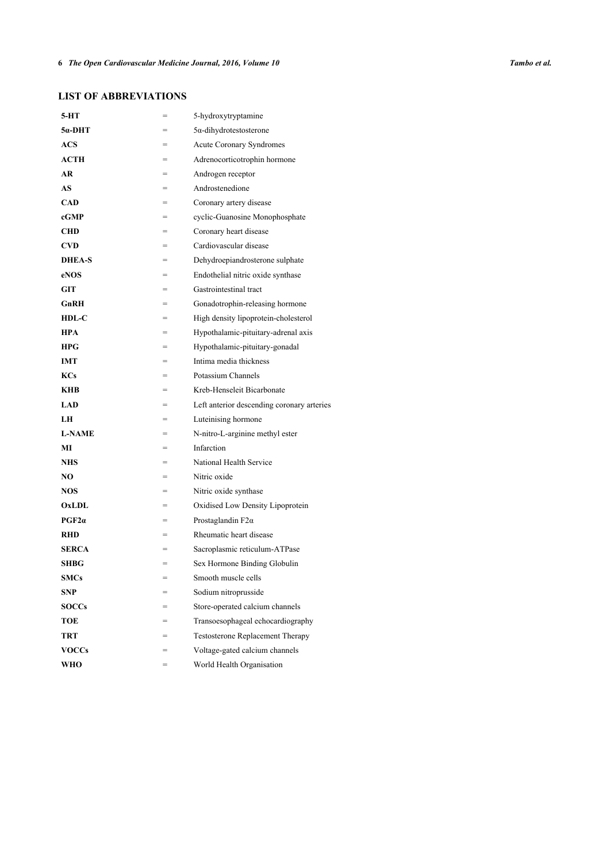## **LIST OF ABBREVIATIONS**

| 5-HT          | =   | 5-hydroxytryptamine                        |
|---------------|-----|--------------------------------------------|
| 5α-DHT        |     | $5\alpha$ -dihydrotestosterone             |
| ACS           | $=$ | Acute Coronary Syndromes                   |
| ACTH          | $=$ | Adrenocorticotrophin hormone               |
| AR            | $=$ | Androgen receptor                          |
| AS            | $=$ | Androstenedione                            |
| CAD           |     | Coronary artery disease                    |
| cGMP          | =   | cyclic-Guanosine Monophosphate             |
| CHD           | $=$ | Coronary heart disease                     |
| <b>CVD</b>    | $=$ | Cardiovascular disease                     |
| <b>DHEA-S</b> | $=$ | Dehydroepiandrosterone sulphate            |
| eNOS          |     | Endothelial nitric oxide synthase          |
| GIT           | $=$ | Gastrointestinal tract                     |
| GnRH          | $=$ | Gonadotrophin-releasing hormone            |
| $HDL-C$       |     | High density lipoprotein-cholesterol       |
| <b>HPA</b>    | $=$ | Hypothalamic-pituitary-adrenal axis        |
| HPG           |     | Hypothalamic-pituitary-gonadal             |
| <b>IMT</b>    |     | Intima media thickness                     |
| KCs           |     | Potassium Channels                         |
| KHB           | $=$ | Kreb-Henseleit Bicarbonate                 |
| <b>LAD</b>    | $=$ | Left anterior descending coronary arteries |
| LH            |     | Luteinising hormone                        |
| <b>L-NAME</b> | $=$ | N-nitro-L-arginine methyl ester            |
| МĪ            |     | Infarction                                 |
| <b>NHS</b>    | $=$ | National Health Service                    |
| NO            | $=$ | Nitric oxide                               |
| <b>NOS</b>    |     | Nitric oxide synthase                      |
| OxLDL         | =   | Oxidised Low Density Lipoprotein           |
| PGF2a         |     | Prostaglandin $F2\alpha$                   |
| <b>RHD</b>    | $=$ | Rheumatic heart disease                    |
| <b>SERCA</b>  | $=$ | Sacroplasmic reticulum-ATPase              |
| <b>SHBG</b>   | $=$ | Sex Hormone Binding Globulin               |
| <b>SMCs</b>   | $=$ | Smooth muscle cells                        |
| <b>SNP</b>    |     | Sodium nitroprusside                       |
| <b>SOCCs</b>  |     | Store-operated calcium channels            |
| TOE           | $=$ | Transoesophageal echocardiography          |
| <b>TRT</b>    | $=$ | <b>Testosterone Replacement Therapy</b>    |
| <b>VOCCs</b>  | =   | Voltage-gated calcium channels             |
| WHO           | $=$ | World Health Organisation                  |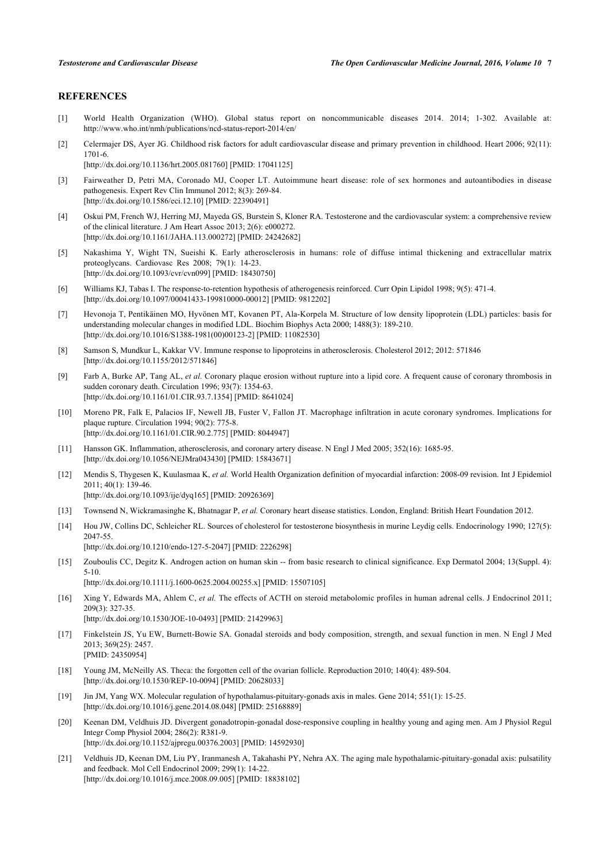### **REFERENCES**

- <span id="page-6-0"></span>[1] World Health Organization (WHO). Global status report on noncommunicable diseases 2014. 2014; 1-302. Available at: http://www.who.int/nmh/publications/ncd-status-report-2014/en/
- <span id="page-6-1"></span>[2] Celermajer DS, Ayer JG, Childhood risk factors for adult cardiovascular disease and primary prevention in childhood. Heart 2006: 92(11): 1701-6.

[\[http://dx.doi.org/10.1136/hrt.2005.081760\]](http://dx.doi.org/10.1136/hrt.2005.081760) [PMID: [17041125](http://www.ncbi.nlm.nih.gov/pubmed/17041125)]

- <span id="page-6-2"></span>[3] Fairweather D, Petri MA, Coronado MJ, Cooper LT. Autoimmune heart disease: role of sex hormones and autoantibodies in disease pathogenesis. Expert Rev Clin Immunol 2012; 8(3): 269-84. [\[http://dx.doi.org/10.1586/eci.12.10](http://dx.doi.org/10.1586/eci.12.10)] [PMID: [22390491\]](http://www.ncbi.nlm.nih.gov/pubmed/22390491)
- <span id="page-6-3"></span>[4] Oskui PM, French WJ, Herring MJ, Mayeda GS, Burstein S, Kloner RA. Testosterone and the cardiovascular system: a comprehensive review of the clinical literature. J Am Heart Assoc 2013; 2(6): e000272. [\[http://dx.doi.org/10.1161/JAHA.113.000272](http://dx.doi.org/10.1161/JAHA.113.000272)] [PMID: [24242682\]](http://www.ncbi.nlm.nih.gov/pubmed/24242682)
- <span id="page-6-4"></span>[5] Nakashima Y, Wight TN, Sueishi K. Early atherosclerosis in humans: role of diffuse intimal thickening and extracellular matrix proteoglycans. Cardiovasc Res 2008; 79(1): 14-23. [\[http://dx.doi.org/10.1093/cvr/cvn099\]](http://dx.doi.org/10.1093/cvr/cvn099) [PMID: [18430750](http://www.ncbi.nlm.nih.gov/pubmed/18430750)]
- <span id="page-6-5"></span>[6] Williams KJ, Tabas I. The response-to-retention hypothesis of atherogenesis reinforced. Curr Opin Lipidol 1998; 9(5): 471-4. [\[http://dx.doi.org/10.1097/00041433-199810000-00012](http://dx.doi.org/10.1097/00041433-199810000-00012)] [PMID: [9812202\]](http://www.ncbi.nlm.nih.gov/pubmed/9812202)
- <span id="page-6-6"></span>[7] Hevonoja T, Pentikäinen MO, Hyvönen MT, Kovanen PT, Ala-Korpela M. Structure of low density lipoprotein (LDL) particles: basis for understanding molecular changes in modified LDL. Biochim Biophys Acta 2000; 1488(3): 189-210. [\[http://dx.doi.org/10.1016/S1388-1981\(00\)00123-2\]](http://dx.doi.org/10.1016/S1388-1981(00)00123-2) [PMID: [11082530](http://www.ncbi.nlm.nih.gov/pubmed/11082530)]
- <span id="page-6-7"></span>[8] Samson S, Mundkur L, Kakkar VV. Immune response to lipoproteins in atherosclerosis. Cholesterol 2012; 2012: 571846 [\[http://dx.doi.org/10.1155/2012/571846](http://dx.doi.org/10.1155/2012/571846)]
- <span id="page-6-8"></span>[9] Farb A, Burke AP, Tang AL, *et al.* Coronary plaque erosion without rupture into a lipid core. A frequent cause of coronary thrombosis in sudden coronary death. Circulation 1996; 93(7): 1354-63. [\[http://dx.doi.org/10.1161/01.CIR.93.7.1354](http://dx.doi.org/10.1161/01.CIR.93.7.1354)] [PMID: [8641024\]](http://www.ncbi.nlm.nih.gov/pubmed/8641024)
- <span id="page-6-9"></span>[10] Moreno PR, Falk E, Palacios IF, Newell JB, Fuster V, Fallon JT. Macrophage infiltration in acute coronary syndromes. Implications for plaque rupture. Circulation 1994; 90(2): 775-8. [\[http://dx.doi.org/10.1161/01.CIR.90.2.775](http://dx.doi.org/10.1161/01.CIR.90.2.775)] [PMID: [8044947\]](http://www.ncbi.nlm.nih.gov/pubmed/8044947)
- <span id="page-6-10"></span>[11] Hansson GK. Inflammation, atherosclerosis, and coronary artery disease. N Engl J Med 2005; 352(16): 1685-95. [\[http://dx.doi.org/10.1056/NEJMra043430\]](http://dx.doi.org/10.1056/NEJMra043430) [PMID: [15843671](http://www.ncbi.nlm.nih.gov/pubmed/15843671)]
- <span id="page-6-11"></span>[12] Mendis S, Thygesen K, Kuulasmaa K, *et al.* World Health Organization definition of myocardial infarction: 2008-09 revision. Int J Epidemiol 2011; 40(1): 139-46. [\[http://dx.doi.org/10.1093/ije/dyq165](http://dx.doi.org/10.1093/ije/dyq165)] [PMID: [20926369\]](http://www.ncbi.nlm.nih.gov/pubmed/20926369)
- <span id="page-6-12"></span>[13] Townsend N, Wickramasinghe K, Bhatnagar P, *et al.* Coronary heart disease statistics. London, England: British Heart Foundation 2012.
- <span id="page-6-13"></span>[14] Hou JW, Collins DC, Schleicher RL. Sources of cholesterol for testosterone biosynthesis in murine Leydig cells. Endocrinology 1990; 127(5): 2047-55. [\[http://dx.doi.org/10.1210/endo-127-5-2047](http://dx.doi.org/10.1210/endo-127-5-2047)] [PMID: [2226298\]](http://www.ncbi.nlm.nih.gov/pubmed/2226298)
- <span id="page-6-14"></span>[15] Zouboulis CC, Degitz K. Androgen action on human skin -- from basic research to clinical significance. Exp Dermatol 2004; 13(Suppl. 4): 5-10. [\[http://dx.doi.org/10.1111/j.1600-0625.2004.00255.x\]](http://dx.doi.org/10.1111/j.1600-0625.2004.00255.x) [PMID: [15507105](http://www.ncbi.nlm.nih.gov/pubmed/15507105)]
- <span id="page-6-15"></span>[16] Xing Y, Edwards MA, Ahlem C, *et al.* The effects of ACTH on steroid metabolomic profiles in human adrenal cells. J Endocrinol 2011; 209(3): 327-35. [\[http://dx.doi.org/10.1530/JOE-10-0493\]](http://dx.doi.org/10.1530/JOE-10-0493) [PMID: [21429963](http://www.ncbi.nlm.nih.gov/pubmed/21429963)]
- <span id="page-6-16"></span>[17] Finkelstein JS, Yu EW, Burnett-Bowie SA. Gonadal steroids and body composition, strength, and sexual function in men. N Engl J Med 2013; 369(25): 2457. [PMID: [24350954\]](http://www.ncbi.nlm.nih.gov/pubmed/24350954)
- <span id="page-6-17"></span>[18] Young JM, McNeilly AS. Theca: the forgotten cell of the ovarian follicle. Reproduction 2010; 140(4): 489-504. [\[http://dx.doi.org/10.1530/REP-10-0094\]](http://dx.doi.org/10.1530/REP-10-0094) [PMID: [20628033](http://www.ncbi.nlm.nih.gov/pubmed/20628033)]
- <span id="page-6-18"></span>[19] Jin JM, Yang WX. Molecular regulation of hypothalamus-pituitary-gonads axis in males. Gene 2014; 551(1): 15-25. [\[http://dx.doi.org/10.1016/j.gene.2014.08.048](http://dx.doi.org/10.1016/j.gene.2014.08.048)] [PMID: [25168889\]](http://www.ncbi.nlm.nih.gov/pubmed/25168889)
- <span id="page-6-19"></span>[20] Keenan DM, Veldhuis JD. Divergent gonadotropin-gonadal dose-responsive coupling in healthy young and aging men. Am J Physiol Regul Integr Comp Physiol 2004; 286(2): R381-9. [\[http://dx.doi.org/10.1152/ajpregu.00376.2003\]](http://dx.doi.org/10.1152/ajpregu.00376.2003) [PMID: [14592930](http://www.ncbi.nlm.nih.gov/pubmed/14592930)]
- <span id="page-6-20"></span>[21] Veldhuis JD, Keenan DM, Liu PY, Iranmanesh A, Takahashi PY, Nehra AX. The aging male hypothalamic-pituitary-gonadal axis: pulsatility and feedback. Mol Cell Endocrinol 2009; 299(1): 14-22. [\[http://dx.doi.org/10.1016/j.mce.2008.09.005](http://dx.doi.org/10.1016/j.mce.2008.09.005)] [PMID: [18838102\]](http://www.ncbi.nlm.nih.gov/pubmed/18838102)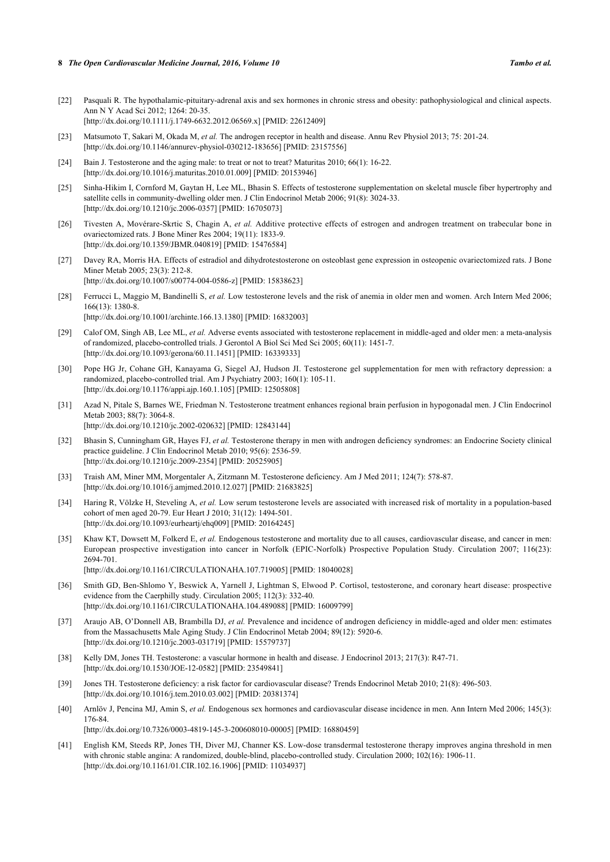- <span id="page-7-0"></span>[22] Pasquali R. The hypothalamic-pituitary-adrenal axis and sex hormones in chronic stress and obesity: pathophysiological and clinical aspects. Ann N Y Acad Sci 2012; 1264: 20-35. [\[http://dx.doi.org/10.1111/j.1749-6632.2012.06569.x\]](http://dx.doi.org/10.1111/j.1749-6632.2012.06569.x) [PMID: [22612409](http://www.ncbi.nlm.nih.gov/pubmed/22612409)]
- <span id="page-7-1"></span>[23] Matsumoto T, Sakari M, Okada M, *et al.* The androgen receptor in health and disease. Annu Rev Physiol 2013; 75: 201-24. [\[http://dx.doi.org/10.1146/annurev-physiol-030212-183656](http://dx.doi.org/10.1146/annurev-physiol-030212-183656)] [PMID: [23157556\]](http://www.ncbi.nlm.nih.gov/pubmed/23157556)
- <span id="page-7-2"></span>[24] Bain J. Testosterone and the aging male: to treat or not to treat? Maturitas 2010; 66(1): 16-22. [\[http://dx.doi.org/10.1016/j.maturitas.2010.01.009\]](http://dx.doi.org/10.1016/j.maturitas.2010.01.009) [PMID: [20153946](http://www.ncbi.nlm.nih.gov/pubmed/20153946)]
- <span id="page-7-3"></span>[25] Sinha-Hikim I, Cornford M, Gaytan H, Lee ML, Bhasin S. Effects of testosterone supplementation on skeletal muscle fiber hypertrophy and satellite cells in community-dwelling older men. J Clin Endocrinol Metab 2006; 91(8): 3024-33. [\[http://dx.doi.org/10.1210/jc.2006-0357](http://dx.doi.org/10.1210/jc.2006-0357)] [PMID: [16705073\]](http://www.ncbi.nlm.nih.gov/pubmed/16705073)
- <span id="page-7-4"></span>[26] Tivesten A, Movérare-Skrtic S, Chagin A, *et al.* Additive protective effects of estrogen and androgen treatment on trabecular bone in ovariectomized rats. J Bone Miner Res 2004; 19(11): 1833-9. [\[http://dx.doi.org/10.1359/JBMR.040819\]](http://dx.doi.org/10.1359/JBMR.040819) [PMID: [15476584](http://www.ncbi.nlm.nih.gov/pubmed/15476584)]
- <span id="page-7-5"></span>[27] Davey RA, Morris HA. Effects of estradiol and dihydrotestosterone on osteoblast gene expression in osteopenic ovariectomized rats. J Bone Miner Metab 2005; 23(3): 212-8. [\[http://dx.doi.org/10.1007/s00774-004-0586-z](http://dx.doi.org/10.1007/s00774-004-0586-z)] [PMID: [15838623](http://www.ncbi.nlm.nih.gov/pubmed/15838623)]
- <span id="page-7-6"></span>[28] Ferrucci L, Maggio M, Bandinelli S, *et al.* Low testosterone levels and the risk of anemia in older men and women. Arch Intern Med 2006; 166(13): 1380-8. [\[http://dx.doi.org/10.1001/archinte.166.13.1380\]](http://dx.doi.org/10.1001/archinte.166.13.1380) [PMID: [16832003](http://www.ncbi.nlm.nih.gov/pubmed/16832003)]
- <span id="page-7-7"></span>[29] Calof OM, Singh AB, Lee ML, *et al.* Adverse events associated with testosterone replacement in middle-aged and older men: a meta-analysis of randomized, placebo-controlled trials. J Gerontol A Biol Sci Med Sci 2005; 60(11): 1451-7. [\[http://dx.doi.org/10.1093/gerona/60.11.1451\]](http://dx.doi.org/10.1093/gerona/60.11.1451) [PMID: [16339333](http://www.ncbi.nlm.nih.gov/pubmed/16339333)]
- <span id="page-7-8"></span>[30] Pope HG Jr, Cohane GH, Kanayama G, Siegel AJ, Hudson JI. Testosterone gel supplementation for men with refractory depression: a randomized, placebo-controlled trial. Am J Psychiatry 2003; 160(1): 105-11. [\[http://dx.doi.org/10.1176/appi.ajp.160.1.105](http://dx.doi.org/10.1176/appi.ajp.160.1.105)] [PMID: [12505808\]](http://www.ncbi.nlm.nih.gov/pubmed/12505808)
- <span id="page-7-9"></span>[31] Azad N, Pitale S, Barnes WE, Friedman N. Testosterone treatment enhances regional brain perfusion in hypogonadal men. J Clin Endocrinol Metab 2003; 88(7): 3064-8. [\[http://dx.doi.org/10.1210/jc.2002-020632](http://dx.doi.org/10.1210/jc.2002-020632)] [PMID: [12843144\]](http://www.ncbi.nlm.nih.gov/pubmed/12843144)
- <span id="page-7-10"></span>[32] Bhasin S, Cunningham GR, Hayes FJ, *et al.* Testosterone therapy in men with androgen deficiency syndromes: an Endocrine Society clinical practice guideline. J Clin Endocrinol Metab 2010; 95(6): 2536-59. [\[http://dx.doi.org/10.1210/jc.2009-2354](http://dx.doi.org/10.1210/jc.2009-2354)] [PMID: [20525905\]](http://www.ncbi.nlm.nih.gov/pubmed/20525905)
- <span id="page-7-11"></span>[33] Traish AM, Miner MM, Morgentaler A, Zitzmann M. Testosterone deficiency. Am J Med 2011; 124(7): 578-87. [\[http://dx.doi.org/10.1016/j.amjmed.2010.12.027\]](http://dx.doi.org/10.1016/j.amjmed.2010.12.027) [PMID: [21683825](http://www.ncbi.nlm.nih.gov/pubmed/21683825)]
- <span id="page-7-12"></span>[34] Haring R, Völzke H, Steveling A, *et al.* Low serum testosterone levels are associated with increased risk of mortality in a population-based cohort of men aged 20-79. Eur Heart J 2010; 31(12): 1494-501. [\[http://dx.doi.org/10.1093/eurheartj/ehq009](http://dx.doi.org/10.1093/eurheartj/ehq009)] [PMID: [20164245\]](http://www.ncbi.nlm.nih.gov/pubmed/20164245)
- <span id="page-7-16"></span>[35] Khaw KT, Dowsett M, Folkerd E, *et al.* Endogenous testosterone and mortality due to all causes, cardiovascular disease, and cancer in men: European prospective investigation into cancer in Norfolk (EPIC-Norfolk) Prospective Population Study. Circulation 2007; 116(23): 2694-701. [\[http://dx.doi.org/10.1161/CIRCULATIONAHA.107.719005](http://dx.doi.org/10.1161/CIRCULATIONAHA.107.719005)] [PMID: [18040028\]](http://www.ncbi.nlm.nih.gov/pubmed/18040028)
- <span id="page-7-13"></span>[36] Smith GD, Ben-Shlomo Y, Beswick A, Yarnell J, Lightman S, Elwood P. Cortisol, testosterone, and coronary heart disease: prospective evidence from the Caerphilly study. Circulation 2005; 112(3): 332-40. [\[http://dx.doi.org/10.1161/CIRCULATIONAHA.104.489088](http://dx.doi.org/10.1161/CIRCULATIONAHA.104.489088)] [PMID: [16009799\]](http://www.ncbi.nlm.nih.gov/pubmed/16009799)
- <span id="page-7-14"></span>[37] Araujo AB, O'Donnell AB, Brambilla DJ, *et al.* Prevalence and incidence of androgen deficiency in middle-aged and older men: estimates from the Massachusetts Male Aging Study. J Clin Endocrinol Metab 2004; 89(12): 5920-6. [\[http://dx.doi.org/10.1210/jc.2003-031719](http://dx.doi.org/10.1210/jc.2003-031719)] [PMID: [15579737\]](http://www.ncbi.nlm.nih.gov/pubmed/15579737)
- <span id="page-7-19"></span>[38] Kelly DM, Jones TH. Testosterone: a vascular hormone in health and disease. J Endocrinol 2013; 217(3): R47-71. [\[http://dx.doi.org/10.1530/JOE-12-0582\]](http://dx.doi.org/10.1530/JOE-12-0582) [PMID: [23549841](http://www.ncbi.nlm.nih.gov/pubmed/23549841)]
- <span id="page-7-15"></span>[39] Jones TH. Testosterone deficiency: a risk factor for cardiovascular disease? Trends Endocrinol Metab 2010; 21(8): 496-503. [\[http://dx.doi.org/10.1016/j.tem.2010.03.002](http://dx.doi.org/10.1016/j.tem.2010.03.002)] [PMID: [20381374\]](http://www.ncbi.nlm.nih.gov/pubmed/20381374)
- <span id="page-7-17"></span>[40] Arnlöv J, Pencina MJ, Amin S, *et al.* Endogenous sex hormones and cardiovascular disease incidence in men. Ann Intern Med 2006; 145(3): 176-84. [\[http://dx.doi.org/10.7326/0003-4819-145-3-200608010-00005](http://dx.doi.org/10.7326/0003-4819-145-3-200608010-00005)] [PMID: [16880459\]](http://www.ncbi.nlm.nih.gov/pubmed/16880459)
- <span id="page-7-18"></span>[41] English KM, Steeds RP, Jones TH, Diver MJ, Channer KS. Low-dose transdermal testosterone therapy improves angina threshold in men with chronic stable angina: A randomized, double-blind, placebo-controlled study. Circulation 2000; 102(16): 1906-11. [\[http://dx.doi.org/10.1161/01.CIR.102.16.1906](http://dx.doi.org/10.1161/01.CIR.102.16.1906)] [PMID: [11034937\]](http://www.ncbi.nlm.nih.gov/pubmed/11034937)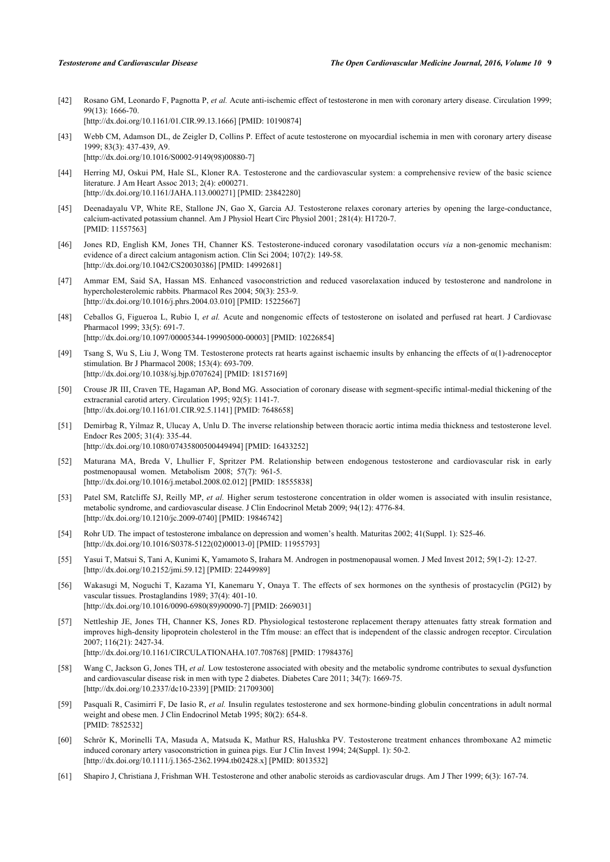- [42] Rosano GM, Leonardo F, Pagnotta P, *et al.* Acute anti-ischemic effect of testosterone in men with coronary artery disease. Circulation 1999; 99(13): 1666-70. [\[http://dx.doi.org/10.1161/01.CIR.99.13.1666](http://dx.doi.org/10.1161/01.CIR.99.13.1666)] [PMID: [10190874\]](http://www.ncbi.nlm.nih.gov/pubmed/10190874)
- <span id="page-8-0"></span>[43] Webb CM, Adamson DL, de Zeigler D, Collins P. Effect of acute testosterone on myocardial ischemia in men with coronary artery disease 1999; 83(3): 437-439, A9. [\[http://dx.doi.org/10.1016/S0002-9149\(98\)00880-7\]](http://dx.doi.org/10.1016/S0002-9149(98)00880-7)
- <span id="page-8-1"></span>[44] Herring MJ, Oskui PM, Hale SL, Kloner RA. Testosterone and the cardiovascular system: a comprehensive review of the basic science literature. J Am Heart Assoc 2013; 2(4): e000271. [\[http://dx.doi.org/10.1161/JAHA.113.000271](http://dx.doi.org/10.1161/JAHA.113.000271)] [PMID: [23842280\]](http://www.ncbi.nlm.nih.gov/pubmed/23842280)
- <span id="page-8-2"></span>[45] Deenadayalu VP, White RE, Stallone JN, Gao X, Garcia AJ. Testosterone relaxes coronary arteries by opening the large-conductance, calcium-activated potassium channel. Am J Physiol Heart Circ Physiol 2001; 281(4): H1720-7. [PMID: [11557563\]](http://www.ncbi.nlm.nih.gov/pubmed/11557563)
- <span id="page-8-3"></span>[46] Jones RD, English KM, Jones TH, Channer KS. Testosterone-induced coronary vasodilatation occurs *via* a non-genomic mechanism: evidence of a direct calcium antagonism action. Clin Sci 2004; 107(2): 149-58. [\[http://dx.doi.org/10.1042/CS20030386\]](http://dx.doi.org/10.1042/CS20030386) [PMID: [14992681](http://www.ncbi.nlm.nih.gov/pubmed/14992681)]
- <span id="page-8-4"></span>[47] Ammar EM, Said SA, Hassan MS. Enhanced vasoconstriction and reduced vasorelaxation induced by testosterone and nandrolone in hypercholesterolemic rabbits. Pharmacol Res 2004; 50(3): 253-9. [\[http://dx.doi.org/10.1016/j.phrs.2004.03.010\]](http://dx.doi.org/10.1016/j.phrs.2004.03.010) [PMID: [15225667](http://www.ncbi.nlm.nih.gov/pubmed/15225667)]
- <span id="page-8-5"></span>[48] Ceballos G, Figueroa L, Rubio I, *et al.* Acute and nongenomic effects of testosterone on isolated and perfused rat heart. J Cardiovasc Pharmacol 1999; 33(5): 691-7. [\[http://dx.doi.org/10.1097/00005344-199905000-00003](http://dx.doi.org/10.1097/00005344-199905000-00003)] [PMID: [10226854\]](http://www.ncbi.nlm.nih.gov/pubmed/10226854)
- <span id="page-8-6"></span>[49] Tsang S, Wu S, Liu J, Wong TM. Testosterone protects rat hearts against ischaemic insults by enhancing the effects of α(1)-adrenoceptor stimulation. Br J Pharmacol 2008; 153(4): 693-709. [\[http://dx.doi.org/10.1038/sj.bjp.0707624](http://dx.doi.org/10.1038/sj.bjp.0707624)] [PMID: [18157169\]](http://www.ncbi.nlm.nih.gov/pubmed/18157169)
- <span id="page-8-7"></span>[50] Crouse JR III, Craven TE, Hagaman AP, Bond MG. Association of coronary disease with segment-specific intimal-medial thickening of the extracranial carotid artery. Circulation 1995; 92(5): 1141-7. [\[http://dx.doi.org/10.1161/01.CIR.92.5.1141](http://dx.doi.org/10.1161/01.CIR.92.5.1141)] [PMID: [7648658\]](http://www.ncbi.nlm.nih.gov/pubmed/7648658)
- <span id="page-8-8"></span>[51] Demirbag R, Yilmaz R, Ulucay A, Unlu D. The inverse relationship between thoracic aortic intima media thickness and testosterone level. Endocr Res 2005; 31(4): 335-44. [\[http://dx.doi.org/10.1080/07435800500449494\]](http://dx.doi.org/10.1080/07435800500449494) [PMID: [16433252](http://www.ncbi.nlm.nih.gov/pubmed/16433252)]
- <span id="page-8-9"></span>[52] Maturana MA, Breda V, Lhullier F, Spritzer PM. Relationship between endogenous testosterone and cardiovascular risk in early postmenopausal women. Metabolism 2008; 57(7): 961-5. [\[http://dx.doi.org/10.1016/j.metabol.2008.02.012\]](http://dx.doi.org/10.1016/j.metabol.2008.02.012) [PMID: [18555838](http://www.ncbi.nlm.nih.gov/pubmed/18555838)]
- [53] Patel SM, Ratcliffe SJ, Reilly MP, et al. Higher serum testosterone concentration in older women is associated with insulin resistance, metabolic syndrome, and cardiovascular disease. J Clin Endocrinol Metab 2009; 94(12): 4776-84. [\[http://dx.doi.org/10.1210/jc.2009-0740](http://dx.doi.org/10.1210/jc.2009-0740)] [PMID: [19846742\]](http://www.ncbi.nlm.nih.gov/pubmed/19846742)
- [54] Rohr UD. The impact of testosterone imbalance on depression and women's health. Maturitas 2002; 41(Suppl. 1): S25-46. [\[http://dx.doi.org/10.1016/S0378-5122\(02\)00013-0\]](http://dx.doi.org/10.1016/S0378-5122(02)00013-0) [PMID: [11955793](http://www.ncbi.nlm.nih.gov/pubmed/11955793)]
- <span id="page-8-10"></span>[55] Yasui T, Matsui S, Tani A, Kunimi K, Yamamoto S, Irahara M. Androgen in postmenopausal women. J Med Invest 2012; 59(1-2): 12-27. [\[http://dx.doi.org/10.2152/jmi.59.12](http://dx.doi.org/10.2152/jmi.59.12)] [PMID: [22449989](http://www.ncbi.nlm.nih.gov/pubmed/22449989)]
- <span id="page-8-11"></span>[56] Wakasugi M, Noguchi T, Kazama YI, Kanemaru Y, Onaya T. The effects of sex hormones on the synthesis of prostacyclin (PGI2) by vascular tissues. Prostaglandins 1989; 37(4): 401-10. [\[http://dx.doi.org/10.1016/0090-6980\(89\)90090-7](http://dx.doi.org/10.1016/0090-6980(89)90090-7)] [PMID: [2669031](http://www.ncbi.nlm.nih.gov/pubmed/2669031)]
- <span id="page-8-12"></span>[57] Nettleship JE, Jones TH, Channer KS, Jones RD. Physiological testosterone replacement therapy attenuates fatty streak formation and improves high-density lipoprotein cholesterol in the Tfm mouse: an effect that is independent of the classic androgen receptor. Circulation 2007; 116(21): 2427-34.
	- [\[http://dx.doi.org/10.1161/CIRCULATIONAHA.107.708768](http://dx.doi.org/10.1161/CIRCULATIONAHA.107.708768)] [PMID: [17984376\]](http://www.ncbi.nlm.nih.gov/pubmed/17984376)
- <span id="page-8-13"></span>[58] Wang C, Jackson G, Jones TH, *et al.* Low testosterone associated with obesity and the metabolic syndrome contributes to sexual dysfunction and cardiovascular disease risk in men with type 2 diabetes. Diabetes Care 2011; 34(7): 1669-75. [\[http://dx.doi.org/10.2337/dc10-2339](http://dx.doi.org/10.2337/dc10-2339)] [PMID: [21709300\]](http://www.ncbi.nlm.nih.gov/pubmed/21709300)
- <span id="page-8-14"></span>[59] Pasquali R, Casimirri F, De Iasio R, *et al.* Insulin regulates testosterone and sex hormone-binding globulin concentrations in adult normal weight and obese men. J Clin Endocrinol Metab 1995; 80(2): 654-8. [PMID: [7852532\]](http://www.ncbi.nlm.nih.gov/pubmed/7852532)
- <span id="page-8-15"></span>[60] Schrör K, Morinelli TA, Masuda A, Matsuda K, Mathur RS, Halushka PV. Testosterone treatment enhances thromboxane A2 mimetic induced coronary artery vasoconstriction in guinea pigs. Eur J Clin Invest 1994; 24(Suppl. 1): 50-2. [\[http://dx.doi.org/10.1111/j.1365-2362.1994.tb02428.x\]](http://dx.doi.org/10.1111/j.1365-2362.1994.tb02428.x) [PMID: [8013532](http://www.ncbi.nlm.nih.gov/pubmed/8013532)]
- [61] Shapiro J, Christiana J, Frishman WH. Testosterone and other anabolic steroids as cardiovascular drugs. Am J Ther 1999; 6(3): 167-74.